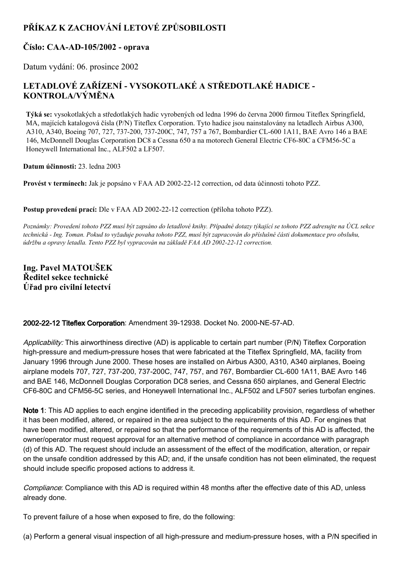# **PŘÍKAZ K ZACHOVÁNÍ LETOVÉ ZPŮSOBILOSTI**

## **Číslo: CAAAD105/2002 oprava**

Datum vydání: 06. prosince 2002

# **LETADLOVÉ ZAŘÍZENÍ VYSOKOTLAKÉ A STŘEDOTLAKÉ HADICE KONTROLA/VÝMĚNA**

**Týká se:** vysokotlakých a středotlakých hadic vyrobených od ledna 1996 do června 2000 firmou Titeflex Springfield, MA, majících katalogová čísla (P/N) Titeflex Corporation. Tyto hadice jsou nainstalovány na letadlech Airbus A300, A310, A340, Boeing 707, 727, 737-200, 737-200C, 747, 757 a 767, Bombardier CL-600 1A11, BAE Avro 146 a BAE 146, McDonnell Douglas Corporation DC8 a Cessna 650 a na motorech General Electric CF6-80C a CFM56-5C a Honeywell International Inc., ALF502 a LF507.

**Datum účinnosti:** 23. ledna 2003

**Provést v termínech:** Jak je popsáno v FAA AD 20022212 correction, od data účinnosti tohoto PZZ.

**Postup provedení prací:** Dle v FAA AD 2002-22-12 correction (příloha tohoto PZZ).

Poznámky: Provedení tohoto PZZ musí být zapsáno do letadlové knihy. Případné dotazy týkající se tohoto PZZ adresujte na ÚCL sekce technická - Ing. Toman. Pokud to vyžaduje povaha tohoto PZZ, musí být zapracován do příslušné části dokumentace pro obsluhu, *údržbu a opravy letadla. Tento PZZ byl vypracován na základě FAA AD 20022212 correction.*

**Ing. Pavel MATOUŠEK Ředitel sekce technické Úřad pro civilní letectví**

2002-22-12 Titeflex Corporation: Amendment 39-12938. Docket No. 2000-NE-57-AD.

Applicability: This airworthiness directive (AD) is applicable to certain part number (P/N) Titeflex Corporation high-pressure and medium-pressure hoses that were fabricated at the Titeflex Springfield, MA, facility from January 1996 through June 2000. These hoses are installed on Airbus A300, A310, A340 airplanes, Boeing airplane models 707, 727, 737-200, 737-200C, 747, 757, and 767, Bombardier CL-600 1A11, BAE Avro 146 and BAE 146, McDonnell Douglas Corporation DC8 series, and Cessna 650 airplanes, and General Electric CF6-80C and CFM56-5C series, and Honeywell International Inc., ALF502 and LF507 series turbofan engines.

Note 1: This AD applies to each engine identified in the preceding applicability provision, regardless of whether it has been modified, altered, or repaired in the area subject to the requirements of this AD. For engines that have been modified, altered, or repaired so that the performance of the requirements of this AD is affected, the owner/operator must request approval for an alternative method of compliance in accordance with paragraph (d) of this AD. The request should include an assessment of the effect of the modification, alteration, or repair on the unsafe condition addressed by this AD; and, if the unsafe condition has not been eliminated, the request should include specific proposed actions to address it.

Compliance: Compliance with this AD is required within 48 months after the effective date of this AD, unless already done.

To prevent failure of a hose when exposed to fire, do the following:

(a) Perform a general visual inspection of all high-pressure and medium-pressure hoses, with a P/N specified in